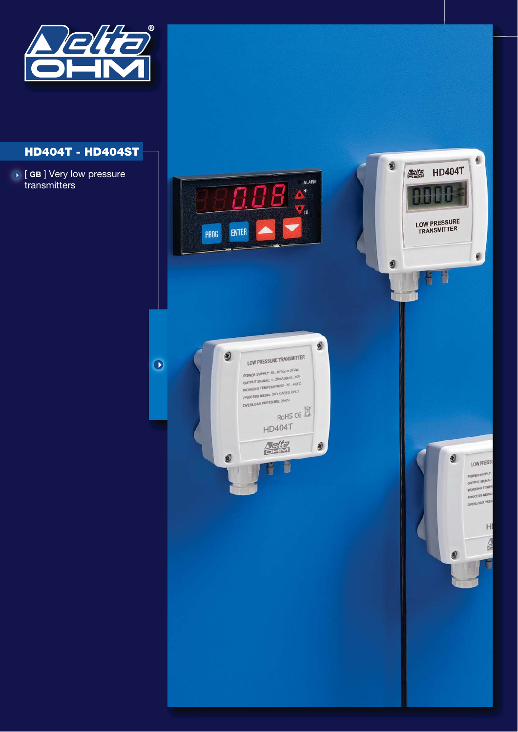

# **HD404T - HD404ST**

[ **GB** ] Very low pressure transmitters [ t

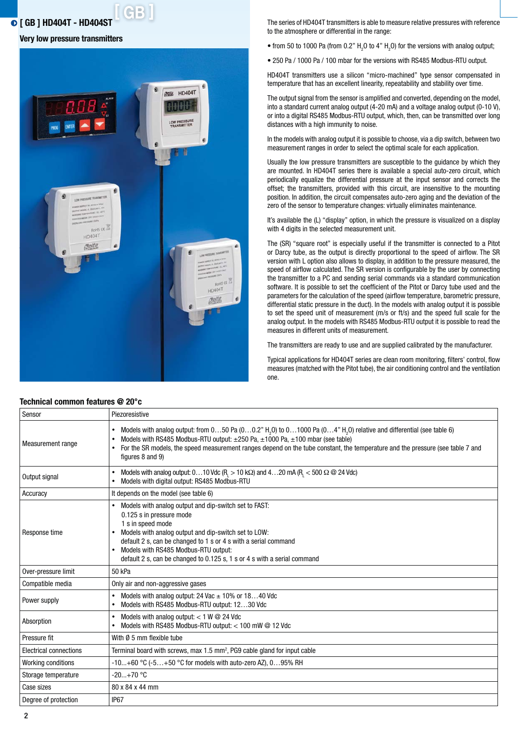# **[ GB ] [ GB ] HD404T - HD404ST**

#### **Very low pressure transmitters**



**Technical common features @ 20°c**

The series of HD404T transmitters is able to measure relative pressures with reference to the atmosphere or differential in the range:

• from 50 to 1000 Pa (from 0.2"  $H_2O$  to 4"  $H_2O$ ) for the versions with analog output;

• 250 Pa / 1000 Pa / 100 mbar for the versions with RS485 Modbus-RTU output.

HD404T transmitters use a silicon "micro-machined" type sensor compensated in temperature that has an excellent linearity, repeatability and stability over time.

The output signal from the sensor is amplified and converted, depending on the model, into a standard current analog output (4-20 mA) and a voltage analog output (0-10 V), or into a digital RS485 Modbus-RTU output, which, then, can be transmitted over long distances with a high immunity to noise.

In the models with analog output it is possible to choose, via a dip switch, between two measurement ranges in order to select the optimal scale for each application.

Usually the low pressure transmitters are susceptible to the guidance by which they are mounted. In HD404T series there is available a special auto-zero circuit, which periodically equalize the differential pressure at the input sensor and corrects the offset; the transmitters, provided with this circuit, are insensitive to the mounting position. In addition, the circuit compensates auto-zero aging and the deviation of the zero of the sensor to temperature changes: virtually eliminates maintenance.

It's available the (L) "display" option, in which the pressure is visualized on a display with 4 digits in the selected measurement unit.

The (SR) "square root" is especially useful if the transmitter is connected to a Pitot or Darcy tube, as the output is directly proportional to the speed of airflow. The SR version with L option also allows to display, in addition to the pressure measured, the speed of airflow calculated. The SR version is configurable by the user by connecting the transmitter to a PC and sending serial commands via a standard communication software. It is possible to set the coefficient of the Pitot or Darcy tube used and the parameters for the calculation of the speed (airflow temperature, barometric pressure, differential static pressure in the duct). In the models with analog output it is possible to set the speed unit of measurement (m/s or ft/s) and the speed full scale for the analog output. In the models with RS485 Modbus-RTU output it is possible to read the measures in different units of measurement.

The transmitters are ready to use and are supplied calibrated by the manufacturer.

Typical applications for HD404T series are clean room monitoring, filters' control, flow measures (matched with the Pitot tube), the air conditioning control and the ventilation one.

| Sensor                 | Piezoresistive                                                                                                                                                                                                                                                                                                                                                                                           |
|------------------------|----------------------------------------------------------------------------------------------------------------------------------------------------------------------------------------------------------------------------------------------------------------------------------------------------------------------------------------------------------------------------------------------------------|
| Measurement range      | Models with analog output: from $050$ Pa $(00.2"$ H <sub>2</sub> O) to $01000$ Pa $(04"$ H <sub>2</sub> O) relative and differential (see table 6)<br>Models with RS485 Modbus-RTU output: $\pm 250$ Pa, $\pm 1000$ Pa, $\pm 100$ mbar (see table)<br>For the SR models, the speed measurement ranges depend on the tube constant, the temperature and the pressure (see table 7 and<br>figures 8 and 9) |
| Output signal          | Models with analog output: $010$ Vdc (R <sub>1</sub> > 10 kΩ) and $420$ mA (R <sub>1</sub> < 500 Ω @ 24 Vdc)<br>Models with digital output: RS485 Modbus-RTU                                                                                                                                                                                                                                             |
| Accuracy               | It depends on the model (see table 6)                                                                                                                                                                                                                                                                                                                                                                    |
| Response time          | Models with analog output and dip-switch set to FAST:<br>0.125 s in pressure mode<br>1 s in speed mode<br>Models with analog output and dip-switch set to LOW:<br>default 2 s, can be changed to 1 s or 4 s with a serial command<br>Models with RS485 Modbus-RTU output:<br>default 2 s, can be changed to 0.125 s, 1 s or 4 s with a serial command                                                    |
| Over-pressure limit    | 50 kPa                                                                                                                                                                                                                                                                                                                                                                                                   |
| Compatible media       | Only air and non-aggressive gases                                                                                                                                                                                                                                                                                                                                                                        |
| Power supply           | Models with analog output: 24 Vac $\pm$ 10% or 1840 Vdc<br>Models with RS485 Modbus-RTU output: 1230 Vdc                                                                                                                                                                                                                                                                                                 |
| Absorption             | Models with analog output: $<$ 1 W $\odot$ 24 Vdc<br>Models with RS485 Modbus-RTU output: < 100 mW @ 12 Vdc                                                                                                                                                                                                                                                                                              |
| Pressure fit           | With Ø 5 mm flexible tube                                                                                                                                                                                                                                                                                                                                                                                |
| Electrical connections | Terminal board with screws, max $1.5$ mm <sup>2</sup> , PG9 cable gland for input cable                                                                                                                                                                                                                                                                                                                  |
| Working conditions     | -10+60 °C (-5+50 °C for models with auto-zero AZ), 095% RH                                                                                                                                                                                                                                                                                                                                               |
| Storage temperature    | $-20+70$ °C                                                                                                                                                                                                                                                                                                                                                                                              |
| Case sizes             | 80 x 84 x 44 mm                                                                                                                                                                                                                                                                                                                                                                                          |
| Degree of protection   | <b>IP67</b>                                                                                                                                                                                                                                                                                                                                                                                              |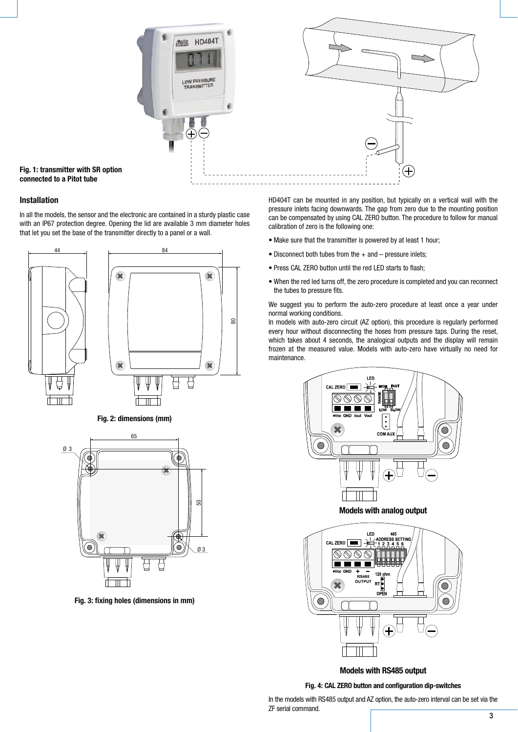

**Fig. 1: transmitter with SR option connected to a Pitot tube**

# **Installation**

In all the models, the sensor and the electronic are contained in a sturdy plastic case with an IP67 protection degree. Opening the lid are available 3 mm diameter holes that let you set the base of the transmitter directly to a panel or a wall.



**Fig. 2: dimensions (mm)**



**Fig. 3: fixing holes (dimensions in mm)**

HD404T can be mounted in any position, but typically on a vertical wall with the pressure inlets facing downwards. The gap from zero due to the mounting position can be compensated by using CAL ZERO button. The procedure to follow for manual calibration of zero is the following one:

- Make sure that the transmitter is powered by at least 1 hour;
- $\bullet$  Disconnect both tubes from the  $+$  and  $-$  pressure inlets;
- Press CAL ZERO button until the red LED starts to flash;
- $\bullet$  When the red led turns off, the zero procedure is completed and you can reconnect the tubes to pressure fits.

We suggest you to perform the auto-zero procedure at least once a year under normal working conditions.

In models with auto-zero circuit (AZ option), this procedure is regularly performed every hour without disconnecting the hoses from pressure taps. During the reset, which takes about 4 seconds, the analogical outputs and the display will remain frozen at the measured value. Models with auto-zero have virtually no need for maintenance.



**Models with analog output**



**Models with RS485 output**

#### **Fig. 4: CAL ZERO button and configuration dip-switches**

In the models with RS485 output and AZ option, the auto-zero interval can be set via the ZF serial command.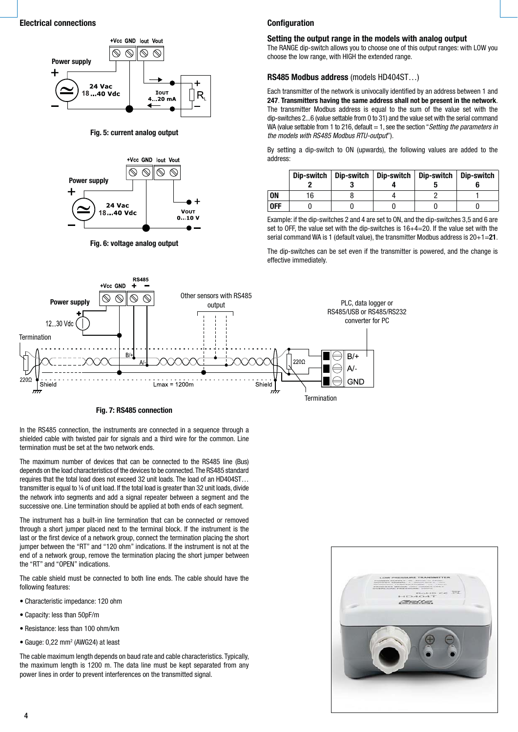

**Fig. 5: current analog output**



**Fig. 6: voltage analog output**

#### **Configuration**

#### **Setting the output range in the models with analog output**

The RANGE dip-switch allows you to choose one of this output ranges: with LOW you choose the low range, with HIGH the extended range.

#### **RS485 Modbus address** (models HD404ST…)

Each transmitter of the network is univocally identified by an address between 1 and **247**. **Transmitters having the same address shall not be present in the network**. The transmitter Modbus address is equal to the sum of the value set with the dip-switches 2...6 (value settable from 0 to 31) and the value set with the serial command WA (value settable from 1 to 216, default  $= 1$ , see the section "Setting the parameters in the models with RS485 Modbus RTU-output").

By setting a dip-switch to ON (upwards), the following values are added to the address:

|     |    | Dip-switch   Dip-switch | Dip-switch   Dip-switch   Dip-switch |  |
|-----|----|-------------------------|--------------------------------------|--|
| ON  | 16 |                         |                                      |  |
| 0FF |    |                         |                                      |  |

Example: if the dip-switches 2 and 4 are set to ON, and the dip-switches 3,5 and 6 are set to OFF, the value set with the dip-switches is 16+4=20. If the value set with the serial command WA is 1 (default value), the transmitter Modbus address is 20+1=**21**.

The dip-switches can be set even if the transmitter is powered, and the change is effective immediately.



#### **Fig. 7: RS485 connection**

In the RS485 connection, the instruments are connected in a sequence through a shielded cable with twisted pair for signals and a third wire for the common. Line termination must be set at the two network ends.

The maximum number of devices that can be connected to the RS485 line (Bus) depends on the load characteristics of the devices to be connected. The RS485 standard requires that the total load does not exceed 32 unit loads. The load of an HD404ST… transmitter is equal to ¼ of unit load. If the total load is greater than 32 unit loads, divide the network into segments and add a signal repeater between a segment and the successive one. Line termination should be applied at both ends of each segment.

The instrument has a built-in line termination that can be connected or removed through a short jumper placed next to the terminal block. If the instrument is the last or the first device of a network group, connect the termination placing the short jumper between the "RT" and "120 ohm" indications. If the instrument is not at the end of a network group, remove the termination placing the short jumper between the "RT" and "OPEN" indications.

The cable shield must be connected to both line ends. The cable should have the following features:

- Characteristic impedance: 120 ohm
- Capacity: less than 50pF/m
- Resistance: less than 100 ohm/km
- $\bullet$  Gauge: 0,22 mm<sup>2</sup> (AWG24) at least

The cable maximum length depends on baud rate and cable characteristics. Typically, the maximum length is 1200 m. The data line must be kept separated from any power lines in order to prevent interferences on the transmitted signal.

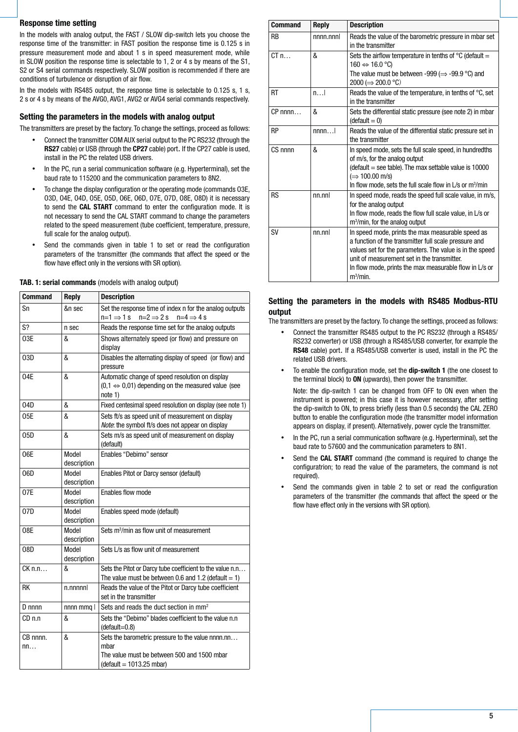# **Response time setting**

In the models with analog output, the FAST / SLOW dip-switch lets you choose the response time of the transmitter: in FAST position the response time is 0.125 s in pressure measurement mode and about 1 s in speed measurement mode, while in SLOW position the response time is selectable to 1, 2 or 4 s by means of the S1, S2 or S4 serial commands respectively. SLOW position is recommended if there are conditions of turbulence or disruption of air flow.

In the models with RS485 output, the response time is selectable to 0.125 s, 1 s, 2 s or 4 s by means of the AVG0, AVG1, AVG2 or AVG4 serial commands respectively.

# **Setting the parameters in the models with analog output**

The transmitters are preset by the factory. To change the settings, proceed as follows:

- - Connect the transmitter COM AUX serial output to the PC RS232 (through the **RS27** cable) or USB (through the **CP27** cable) port. If the CP27 cable is used, install in the PC the related USB drivers.
- -In the PC, run a serial communication software (e.g. Hyperterminal), set the baud rate to 115200 and the communication parameters to 8N2.
- - To change the display configuration or the operating mode (commands O3E, O3D, O4E, O4D, O5E, O5D, O6E, O6D, O7E, O7D, O8E, O8D) it is necessary to send the **CAL START** command to enter the configuration mode. It is not necessary to send the CAL START command to change the parameters related to the speed measurement (tube coefficient, temperature, pressure, full scale for the analog output).
- - Send the commands given in table 1 to set or read the configuration parameters of the transmitter (the commands that affect the speed or the flow have effect only in the versions with SR option).

| <b>Command</b>    | <b>Reply</b>         | <b>Description</b>                                                                                                                     |
|-------------------|----------------------|----------------------------------------------------------------------------------------------------------------------------------------|
| Sn                | &n sec               | Set the response time of index n for the analog outputs<br>$n=1 \Rightarrow 1 s$<br>$n=2 \Rightarrow 2s$<br>$n=4 \Rightarrow 4 s$      |
| S?                | n sec                | Reads the response time set for the analog outputs                                                                                     |
| 03E               | &                    | Shows alternately speed (or flow) and pressure on<br>display                                                                           |
| 03D               | &                    | Disables the alternating display of speed (or flow) and<br>pressure                                                                    |
| 04E               | &                    | Automatic change of speed resolution on display<br>$(0,1 \Leftrightarrow 0,01)$ depending on the measured value (see<br>note 1)        |
| 04D               | &                    | Fixed centesimal speed resolution on display (see note 1)                                                                              |
| 05E               | &                    | Sets ft/s as speed unit of measurement on display<br>Note: the symbol ft/s does not appear on display                                  |
| 05D               | &                    | Sets m/s as speed unit of measurement on display<br>(default)                                                                          |
| 06E               | Model<br>description | Enables "Debimo" sensor                                                                                                                |
| 06D               | Model<br>description | Enables Pitot or Darcy sensor (default)                                                                                                |
| 07E               | Model<br>description | Enables flow mode                                                                                                                      |
| 07D               | Model<br>description | Enables speed mode (default)                                                                                                           |
| 08E               | Model<br>description | Sets m <sup>3</sup> /min as flow unit of measurement                                                                                   |
| 08D               | Model<br>description | Sets L/s as flow unit of measurement                                                                                                   |
| $CK \, n.n$       | &                    | Sets the Pitot or Darcy tube coefficient to the value n.n<br>The value must be between 0.6 and 1.2 (default $= 1$ )                    |
| RK                | $n$ .nnnnnl          | Reads the value of the Pitot or Darcy tube coefficient<br>set in the transmitter                                                       |
| $D$ nnnn          | $nnnn$ mmg $ $       | Sets and reads the duct section in mm <sup>2</sup>                                                                                     |
| CD <sub>n.n</sub> | &                    | Sets the "Debimo" blades coefficient to the value n.n<br>$(default=0.8)$                                                               |
| CB nnnn.<br>nn    | &                    | Sets the barometric pressure to the value nnnn.nn<br>mbar<br>The value must be between 500 and 1500 mbar<br>$(detault = 1013.25 mbar)$ |

**TAB. 1: serial commands** (models with analog output)

| <b>Command</b> | <b>Reply</b> | <b>Description</b>                                                                                                                                                                                                                                                                             |
|----------------|--------------|------------------------------------------------------------------------------------------------------------------------------------------------------------------------------------------------------------------------------------------------------------------------------------------------|
| <b>RB</b>      | nnnn.nnnl    | Reads the value of the barometric pressure in mbar set<br>in the transmitter                                                                                                                                                                                                                   |
| CTn            | &            | Sets the airflow temperature in tenths of $\degree$ C (default =<br>160 $\Leftrightarrow$ 16.0 °C)<br>The value must be between -999 ( $\Rightarrow$ -99.9 °C) and<br>$2000 \implies 200.0 \text{ °C}$                                                                                         |
| <b>RT</b>      | n            | Reads the value of the temperature, in tenths of $\mathrm{^{\circ}C}$ , set<br>in the transmitter                                                                                                                                                                                              |
| $CP$ nnnn      | &            | Sets the differential static pressure (see note 2) in mbar<br>$(detault = 0)$                                                                                                                                                                                                                  |
| <b>RP</b>      | nnnn         | Reads the value of the differential static pressure set in<br>the transmitter                                                                                                                                                                                                                  |
| CS nnnn        | &            | In speed mode, sets the full scale speed, in hundredths<br>of m/s, for the analog output<br>$\theta$ (default = see table). The max settable value is 10000<br>$(\Rightarrow 100.00 \text{ m/s})$<br>In flow mode, sets the full scale flow in L/s or m <sup>3</sup> /min                      |
| <b>RS</b>      | nn.nnl       | In speed mode, reads the speed full scale value, in m/s,<br>for the analog output<br>In flow mode, reads the flow full scale value, in L/s or<br>m <sup>3</sup> /min, for the analog output                                                                                                    |
| <b>SV</b>      | nn.nnl       | In speed mode, prints the max measurable speed as<br>a function of the transmitter full scale pressure and<br>values set for the parameters. The value is in the speed<br>unit of measurement set in the transmitter.<br>In flow mode, prints the max measurable flow in L/s or<br>$m^3/m$ in. |

# **Setting the parameters in the models with RS485 Modbus-RTU output**

The transmitters are preset by the factory. To change the settings, proceed as follows:

- - Connect the transmitter RS485 output to the PC RS232 (through a RS485/ RS232 converter) or USB (through a RS485/USB converter, for example the **RS48** cable) port. If a RS485/USB converter is used, install in the PC the related USB drivers.
- - To enable the configuration mode, set the **dip-switch 1** (the one closest to the terminal block) to **ON** (upwards), then power the transmitter.

Note: the dip-switch 1 can be changed from OFF to ON even when the instrument is powered; in this case it is however necessary, after setting the dip-switch to ON, to press briefly (less than 0.5 seconds) the CAL ZERO button to enable the configuration mode (the transmitter model information appears on display, if present). Alternatively, power cycle the transmitter.

- - In the PC, run a serial communication software (e.g. Hyperterminal), set the baud rate to 57600 and the communication parameters to 8N1.
- - Send the **CAL START** command (the command is required to change the configuratrion; to read the value of the parameters, the command is not required).
- - Send the commands given in table 2 to set or read the configuration parameters of the transmitter (the commands that affect the speed or the flow have effect only in the versions with SR option).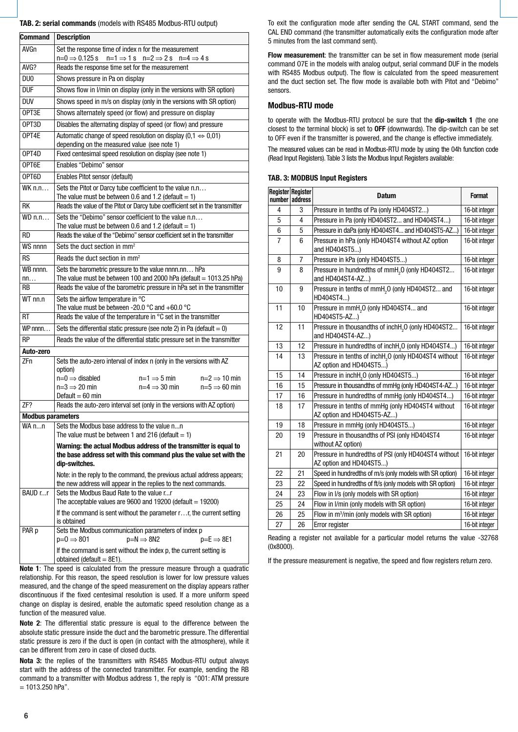#### **TAB. 2: serial commands** (models with RS485 Modbus-RTU output)

| <b>Command</b>           | <b>Description</b>                                                                                                                                                                |  |  |  |
|--------------------------|-----------------------------------------------------------------------------------------------------------------------------------------------------------------------------------|--|--|--|
| <b>AVGn</b>              | Set the response time of index n for the measurement                                                                                                                              |  |  |  |
|                          | $n=0 \Rightarrow 0.125 s$<br>$n=1 \Rightarrow 1 s$ $n=2 \Rightarrow 2 s$ $n=4 \Rightarrow 4 s$                                                                                    |  |  |  |
| AVG?                     | Reads the response time set for the measurement                                                                                                                                   |  |  |  |
| DU <sub>0</sub>          | Shows pressure in Pa on display                                                                                                                                                   |  |  |  |
| <b>DUF</b>               | Shows flow in I/min on display (only in the versions with SR option)                                                                                                              |  |  |  |
| <b>DUV</b>               | Shows speed in m/s on display (only in the versions with SR option)                                                                                                               |  |  |  |
| OPT3E                    | Shows alternately speed (or flow) and pressure on display                                                                                                                         |  |  |  |
| OPT3D                    | Disables the alternating display of speed (or flow) and pressure                                                                                                                  |  |  |  |
| OPT4E                    | Automatic change of speed resolution on display $(0,1 \Leftrightarrow 0,01)$<br>depending on the measured value (see note 1)                                                      |  |  |  |
| OPT4D                    | Fixed centesimal speed resolution on display (see note 1)                                                                                                                         |  |  |  |
| OPT6E                    | Enables "Debimo" sensor                                                                                                                                                           |  |  |  |
| OPT6D                    | Enables Pitot sensor (default)                                                                                                                                                    |  |  |  |
| WK n.n                   | Sets the Pitot or Darcy tube coefficient to the value n.n<br>The value must be between 0.6 and 1.2 (default $= 1$ )                                                               |  |  |  |
| RK                       | Reads the value of the Pitot or Darcy tube coefficient set in the transmitter                                                                                                     |  |  |  |
| $WD \n  n.n$             | Sets the "Debimo" sensor coefficient to the value n.n<br>The value must be between 0.6 and 1.2 (default = 1)                                                                      |  |  |  |
| RD                       | Reads the value of the "Debimo" sensor coefficient set in the transmitter<br>Sets the duct section in mm <sup>2</sup>                                                             |  |  |  |
| WS nnnn                  |                                                                                                                                                                                   |  |  |  |
| RS                       | Reads the duct section in mm <sup>2</sup>                                                                                                                                         |  |  |  |
| WB nnnn.<br>nn           | Sets the barometric pressure to the value nnnn.nn hPa<br>The value must be between 100 and 2000 hPa (default = 1013.25 hPa)                                                       |  |  |  |
| RB                       | Reads the value of the barometric pressure in hPa set in the transmitter                                                                                                          |  |  |  |
| WT nn.n                  | Sets the airflow temperature in °C<br>The value must be between -20.0 $\degree$ C and +60.0 $\degree$ C                                                                           |  |  |  |
| RT                       | Reads the value of the temperature in $\degree$ C set in the transmitter                                                                                                          |  |  |  |
| $WP$ nnnn                | Sets the differential static pressure (see note 2) in Pa (default $= 0$ )                                                                                                         |  |  |  |
| RP                       | Reads the value of the differential static pressure set in the transmitter                                                                                                        |  |  |  |
| Auto-zero                |                                                                                                                                                                                   |  |  |  |
| ZFn                      | Sets the auto-zero interval of index n (only in the versions with AZ<br>option)<br>$n=0 \Rightarrow$ disabled<br>$n=1 \Rightarrow 5 \text{ min}$<br>$n=2 \implies 10 \text{ min}$ |  |  |  |
|                          | $n=3 \implies 20$ min<br>$n=4 \Rightarrow 30 \text{ min}$<br>$n=5 \Rightarrow 60$ min                                                                                             |  |  |  |
|                          | Default = $60$ min                                                                                                                                                                |  |  |  |
| ZF?                      | Reads the auto-zero interval set (only in the versions with AZ option)                                                                                                            |  |  |  |
| <b>Modbus parameters</b> |                                                                                                                                                                                   |  |  |  |
| WA nn                    | Sets the Modbus base address to the value nn<br>The value must be between 1 and 216 (default $= 1$ )                                                                              |  |  |  |
|                          | Warning: the actual Modbus address of the transmitter is equal to<br>the base address set with this command plus the value set with the<br>dip-switches.                          |  |  |  |
|                          | Note: in the reply to the command, the previous actual address appears;                                                                                                           |  |  |  |
|                          | the new address will appear in the replies to the next commands.                                                                                                                  |  |  |  |
| BAUD rr                  | Sets the Modbus Baud Rate to the value rr<br>The acceptable values are $9600$ and $19200$ (default = 19200)                                                                       |  |  |  |
|                          | If the command is sent without the parameter r r, the current setting<br>is obtained                                                                                              |  |  |  |
| PAR p                    | Sets the Modbus communication parameters of index p<br>$p=N \implies 8N2$<br>$p=0 \Rightarrow 801$<br>$p= E \Rightarrow 8E1$                                                      |  |  |  |
|                          | If the command is sent without the index p, the current setting is<br>obtained (default $= 8E1$ ).                                                                                |  |  |  |

**Note 1**: The speed is calculated from the pressure measure through a quadratic relationship. For this reason, the speed resolution is lower for low pressure values measured, and the change of the speed measurement on the display appears rather discontinuous if the fixed centesimal resolution is used. If a more uniform speed change on display is desired, enable the automatic speed resolution change as a function of the measured value.

**Note 2**: The differential static pressure is equal to the difference between the absolute static pressure inside the duct and the barometric pressure. The differential static pressure is zero if the duct is open (in contact with the atmosphere), while it can be different from zero in case of closed ducts.

**Nota 3:** the replies of the transmitters with RS485 Modbus-RTU output always start with the address of the connected transmitter. For example, sending the RB command to a transmitter with Modbus address 1, the reply is "001: ATM pressure  $= 1013.250$  hPa".

To exit the configuration mode after sending the CAL START command, send the CAL END command (the transmitter automatically exits the configuration mode after 5 minutes from the last command sent).

**Flow measurement**: the transmitter can be set in flow measurement mode (serial command O7E in the models with analog output, serial command DUF in the models with RS485 Modbus output). The flow is calculated from the speed measurement and the duct section set. The flow mode is available both with Pitot and "Debimo" sensors.

#### **Modbus-RTU mode**

to operate with the Modbus-RTU protocol be sure that the **dip-switch 1** (the one closest to the terminal block) is set to **OFF** (downwards). The dip-switch can be set to OFF even if the transmitter is powered, and the change is effective immediately. The measured values can be read in Modbus-RTU mode by using the 04h function code (Read Input Registers). Table 3 lists the Modbus Input Registers available:

#### **TAB. 3: MODBUS Input Registers**

| <b>Register Register</b><br>number | address        | <b>Datum</b>                                                                                | <b>Format</b>  |
|------------------------------------|----------------|---------------------------------------------------------------------------------------------|----------------|
| 4                                  | 3              | Pressure in tenths of Pa (only HD404ST2)                                                    | 16-bit integer |
| 5                                  | 4              | Pressure in Pa (only HD404ST2 and HD404ST4)                                                 | 16-bit integer |
| 6                                  | 5              | Pressure in daPa (only HD404ST4 and HD404ST5-AZ)                                            | 16-bit integer |
| 7                                  | 6              | Pressure in hPa (only HD404ST4 without AZ option<br>and HD404ST5)                           | 16-bit integer |
| 8                                  | $\overline{7}$ | Pressure in kPa (only HD404ST5)                                                             | 16-bit integer |
| 9                                  | 8              | Pressure in hundredths of mmH <sub>2</sub> O (only HD404ST2<br>and HD404ST4-AZ)             | 16-bit integer |
| 10                                 | 9              | Pressure in tenths of mmH <sub>2</sub> O (only HD404ST2 and<br>HD404ST4)                    | 16-bit integer |
| 11                                 | 10             | Pressure in mmH <sub>2</sub> O (only HD404ST4 and<br>HD404ST5-AZ)                           | 16-bit integer |
| 12                                 | 11             | Pressure in thousandths of inchH <sub>2</sub> O (only HD404ST2<br>and HD404ST4-AZ)          | 16-bit integer |
| 13                                 | 12             | Pressure in hundredths of inchH <sub>2</sub> O (only HD404ST4)                              | 16-bit integer |
| 14                                 | 13             | Pressure in tenths of inchH <sub>2</sub> O (only HD404ST4 without<br>AZ option and HD404ST5 | 16-bit integer |
| 15                                 | 14             | Pressure in inchH <sub>o</sub> O (only HD404ST5)                                            | 16-bit integer |
| 16                                 | 15             | Pressure in thousandths of mmHg (only HD404ST4-AZ)                                          | 16-bit integer |
| 17                                 | 16             | Pressure in hundredths of mmHg (only HD404ST4)                                              | 16-bit integer |
| 18                                 | 17             | Pressure in tenths of mmHg (only HD404ST4 without<br>AZ option and HD404ST5-AZ)             | 16-bit integer |
| 19                                 | 18             | Pressure in mmHg (only HD404ST5)                                                            | 16-bit integer |
| 20                                 | 19             | Pressure in thousandths of PSI (only HD404ST4<br>without AZ option)                         | 16-bit integer |
| 21                                 | 20             | Pressure in hundredths of PSI (only HD404ST4 without<br>AZ option and HD404ST5)             | 16-bit integer |
| 22                                 | 21             | Speed in hundredths of m/s (only models with SR option)                                     | 16-bit integer |
| 23                                 | 22             | Speed in hundredths of ft/s (only models with SR option)                                    | 16-bit integer |
| 24                                 | 23             | Flow in I/s (only models with SR option)                                                    | 16-bit integer |
| 25                                 | 24             | Flow in I/min (only models with SR option)                                                  | 16-bit integer |
| 26                                 | 25             | Flow in m <sup>3</sup> /min (only models with SR option)                                    | 16-bit integer |
| 27                                 | 26             | Error register                                                                              | 16-bit integer |

Reading a register not available for a particular model returns the value -32768 (0x8000).

If the pressure measurement is negative, the speed and flow registers return zero.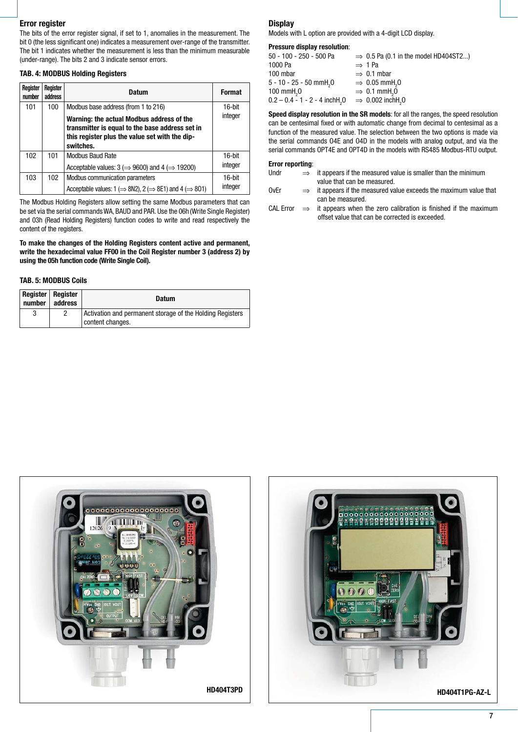#### **Error register**

The bits of the error register signal, if set to 1, anomalies in the measurement. The bit 0 (the less significant one) indicates a measurement over-range of the transmitter. The bit 1 indicates whether the measurement is less than the minimum measurable (under-range). The bits 2 and 3 indicate sensor errors.

# **TAB. 4: MODBUS Holding Registers**

| Register<br>number | Register<br>address | Datum                                                                                                                                                       | <b>Format</b>     |
|--------------------|---------------------|-------------------------------------------------------------------------------------------------------------------------------------------------------------|-------------------|
| 101                | 100                 | Modbus base address (from 1 to 216)                                                                                                                         | 16-bit            |
|                    |                     | Warning: the actual Modbus address of the<br>transmitter is equal to the base address set in<br>this register plus the value set with the dip-<br>switches. | integer           |
| 102                | 101                 | <b>Modbus Baud Rate</b><br>Acceptable values: $3 \implies 9600$ and $4 \implies 19200$                                                                      | 16-bit<br>integer |
| 103                | 102                 | Modbus communication parameters<br>Acceptable values: $1 \implies 8N2$ , $2 \implies 8E1$ and $4 \implies 801$                                              | 16-bit<br>integer |

The Modbus Holding Registers allow setting the same Modbus parameters that can be set via the serial commands WA, BAUD and PAR. Use the 06h (Write Single Register) and 03h (Read Holding Registers) function codes to write and read respectively the content of the registers.

**To make the changes of the Holding Registers content active and permanent, write the hexadecimal value FF00 in the Coil Register number 3 (address 2) by using the 05h function code (Write Single Coil).**

#### **TAB. 5: MODBUS Coils**

| number | Register   Register<br>address | <b>Datum</b>                                                                  |
|--------|--------------------------------|-------------------------------------------------------------------------------|
| 3      |                                | Activation and permanent storage of the Holding Registers<br>content changes. |

#### **Display**

Models with L option are provided with a 4-digit LCD display.

#### **Pressure display resolution**:

| 50 - 100 - 250 - 500 Pa                      | $\Rightarrow$ 0.5 Pa (0.1 in the model HD404ST2) |
|----------------------------------------------|--------------------------------------------------|
| 1000 Pa                                      | $\Rightarrow$ 1 Pa                               |
| 100 mbar                                     | $\Rightarrow$ 0.1 mbar                           |
| $5 - 10 - 25 - 50$ mmH <sub>2</sub> 0        | $\Rightarrow$ 0.05 mmH <sub>2</sub> 0            |
| $100$ mmH <sub>2</sub> $0$                   | $\Rightarrow$ 0.1 mmH <sub>2</sub> 0             |
| $0.2 - 0.4 - 1 - 2 - 4$ inchH <sub>2</sub> O | $\Rightarrow$ 0.002 inchH <sub>3</sub> 0         |

**Speed display resolution in the SR models**: for all the ranges, the speed resolution can be centesimal fixed or with automatic change from decimal to centesimal as a function of the measured value. The selection between the two options is made via the serial commands O4E and O4D in the models with analog output, and via the serial commands OPT4E and OPT4D in the models with RS485 Modbus-RTU output.

#### **Error reporting**:

- Undr  $\implies$  it appears if the measured value is smaller than the minimum value that can be measured.<br>OvEr  $\Rightarrow$  it appears if the measured va  $\Rightarrow$  it appears if the measured value exceeds the maximum value that
- $\text{can be measured.}$ <br>CAI Frror  $\implies$  it appears when t
- it appears when the zero calibration is finished if the maximum offset value that can be corrected is exceeded.



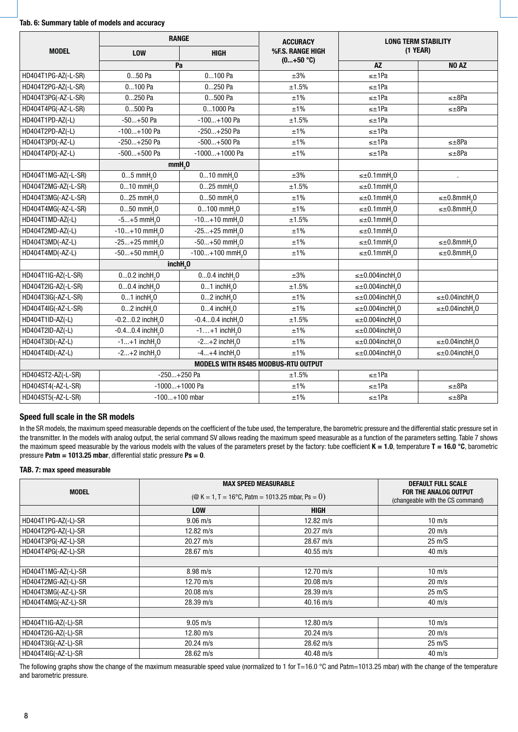#### **Tab. 6: Summary table of models and accuracy**

|                     |                                                            | <b>RANGE</b>                   | <b>ACCURACY</b>                     | <b>LONG TERM STABILITY</b>            |                                      |  |
|---------------------|------------------------------------------------------------|--------------------------------|-------------------------------------|---------------------------------------|--------------------------------------|--|
| <b>MODEL</b>        | <b>LOW</b><br><b>HIGH</b>                                  |                                | %F.S. RANGE HIGH                    | $(1$ YEAR)                            |                                      |  |
|                     | Pa                                                         |                                | $(0+50 °C)$                         | <b>AZ</b>                             | NO <sub>AZ</sub>                     |  |
| HD404T1PG-AZ(-L-SR) | $050$ Pa                                                   | $0100$ Pa                      | $\pm 3\%$                           | $\leq \pm 1$ Pa                       |                                      |  |
| HD404T2PG-AZ(-L-SR) | 0100 Pa                                                    | 0250 Pa                        | ±1.5%                               | $\leq \pm 1$ Pa                       |                                      |  |
| HD404T3PG(-AZ-L-SR) | 0250 Pa                                                    | 0500 Pa                        | ±1%                                 | $\leq \pm 1$ Pa                       | $\leq \pm 8$ Pa                      |  |
| HD404T4PG(-AZ-L-SR) | 0500 Pa                                                    | 01000 Pa                       | ±1%                                 | $\leq \pm 1$ Pa                       | ≤±8Pa                                |  |
| HD404T1PD-AZ(-L)    | $-50+50$ Pa                                                | $-100+100$ Pa                  | ±1.5%                               | $\leq \pm 1$ Pa                       |                                      |  |
| HD404T2PD-AZ(-L)    | -100+100 Pa                                                | -250+250 Pa                    | ±1%                                 | $\leq \pm 1$ Pa                       |                                      |  |
| HD404T3PD(-AZ-L)    | $-250+250$ Pa                                              | $-500+500$ Pa                  | ±1%                                 | $\leq \pm 1$ Pa                       | ≤±8Pa                                |  |
| HD404T4PD(-AZ-L)    | -500+500 Pa                                                | $-1000+1000$ Pa                | ±1%                                 | $\leq \pm 1$ Pa                       | $\leq \pm 8$ Pa                      |  |
|                     |                                                            | mmH <sub>2</sub> 0             |                                     |                                       |                                      |  |
| HD404T1MG-AZ(-L-SR) | $05$ mmH <sub>2</sub> $0$                                  | $010$ mmH <sub>2</sub> $0$     | $\pm 3\%$                           | $\leq \pm 0.1$ mmH <sub>2</sub> 0     |                                      |  |
| HD404T2MG-AZ(-L-SR) | $010$ mmH <sub>2</sub> $0$                                 | $025$ mmH <sub>2</sub> $0$     |                                     | $\leq \pm 0.1$ mmH <sub>2</sub> 0     |                                      |  |
| HD404T3MG(-AZ-L-SR) | $025$ mmH <sub>2</sub> $0$                                 | $050$ mmH <sub>2</sub> $0$     | ±1%                                 | $\leq \pm 0.1$ mmH <sub>2</sub> 0     | $\leq \pm 0.8$ mmH <sub>2</sub> 0    |  |
| HD404T4MG(-AZ-L-SR) | $050$ mmH <sub>2</sub> $0$                                 | $0100$ mmH <sub>2</sub> $0$    | ±1%                                 | $\leq \pm 0.1$ mmH <sub>2</sub> 0     | $\leq \pm 0.8$ mmH <sub>2</sub> 0    |  |
| HD404T1MD-AZ(-L)    | $-5+5$ mmH <sub>2</sub> 0                                  | $-10+10$ mmH <sub>2</sub> 0    | ±1.5%                               | $\leq \pm 0.1$ mmH <sub>2</sub> 0     |                                      |  |
| HD404T2MD-AZ(-L)    | $-10+10$ mmH <sub>2</sub> 0                                | $-25+25$ mmH <sub>2</sub> 0    | ±1%                                 | $\leq \pm 0.1$ mmH <sub>2</sub> 0     |                                      |  |
| HD404T3MD(-AZ-L)    | $-25+25$ mmH <sub>2</sub> 0                                | $-50+50$ mmH <sub>2</sub> 0    | ±1%                                 | $\leq \pm 0.1$ mmH <sub>2</sub> 0     | $\leq \pm 0.8$ mmH <sub>2</sub> 0    |  |
| HD404T4MD(-AZ-L)    | $-50+50$ mmH <sub>2</sub> 0                                | $-100+100$ mmH <sub>2</sub> 0  | ±1%                                 | $\leq \pm 0.1$ mmH <sub>2</sub> 0     | $\leq \pm 0.8$ mmH <sub>2</sub> 0    |  |
|                     |                                                            | inchH <sub>2</sub> 0           |                                     |                                       |                                      |  |
| HD404T1IG-AZ(-L-SR) | $00.2$ inchH <sub>2</sub> $0$                              | $00.4$ inchH <sub>2</sub> $0$  | ±3%                                 | $\leq \pm 0.004$ inchH <sub>2</sub> 0 |                                      |  |
| HD404T2IG-AZ(-L-SR) | $00.4$ inchH <sub>2</sub> $0$                              | $01$ inch $H20$                | ±1.5%                               | $\leq \pm 0.004$ inchH <sub>2</sub> 0 |                                      |  |
| HD404T3IG(-AZ-L-SR) | $01$ inchH <sub>2</sub> $0$                                | $02$ inchH <sub>2</sub> $0$    | ±1%                                 | $\leq \pm 0.004$ inchH <sub>2</sub> 0 | $\leq \pm 0.04$ inchH <sub>2</sub> 0 |  |
| HD404T4IG(-AZ-L-SR) | $02$ inch $H20$                                            | $04$ inch $H20$                | ±1%                                 | $\leq \pm 0.004$ inchH <sub>2</sub> 0 | $\leq \pm 0.04$ inchH <sub>2</sub> 0 |  |
| HD404T1ID-AZ(-L)    | $-0.20.2$ inchH <sub>2</sub> 0                             | $-0.40.4$ inchH <sub>2</sub> 0 | ±1.5%                               | $\leq \pm 0.004$ inchH <sub>2</sub> 0 |                                      |  |
| HD404T2ID-AZ(-L)    | $-0.40.4$ inchH <sub>2</sub> O                             | $-1+1$ inchH <sub>2</sub> 0    | ±1%                                 | $\leq \pm 0.004$ inchH <sub>2</sub> 0 |                                      |  |
| HD404T3ID(-AZ-L)    | $-1+1$ inchH <sub>2</sub> 0                                | $-2+2$ inchH <sub>2</sub> 0    | ±1%                                 | $\leq \pm 0.004$ inchH <sub>2</sub> 0 | $\leq \pm 0.04$ inchH <sub>2</sub> 0 |  |
| HD404T4ID(-AZ-L)    | $-2+2$ inchH <sub>2</sub> 0<br>$-4+4$ inchH <sub>2</sub> 0 |                                | $±1\%$                              | $\leq \pm 0.004$ inchH <sub>2</sub> 0 | $\leq \pm 0.04$ inchH <sub>2</sub> 0 |  |
|                     |                                                            |                                | MODELS WITH RS485 MODBUS-RTU OUTPUT |                                       |                                      |  |
| HD404ST2-AZ(-L-SR)  |                                                            | $-250+250$ Pa                  | ±1.5%                               | $\leq \pm 1$ Pa                       |                                      |  |
| HD404ST4(-AZ-L-SR)  |                                                            | -1000+1000 Pa                  | ±1%                                 | $\leq \pm 1$ Pa                       | ≤±8Pa                                |  |
| HD404ST5(-AZ-L-SR)  | $-100+100$ mbar                                            |                                | ±1%                                 | $\leq \pm 1$ Pa                       | $\leq \pm 8$ Pa                      |  |

# **Speed full scale in the SR models**

In the SR models, the maximum speed measurable depends on the coefficient of the tube used, the temperature, the barometric pressure and the differential static pressure set in the transmitter. In the models with analog output, the serial command SV allows reading the maximum speed measurable as a function of the parameters setting. Table 7 shows the maximum speed measurable by the various models with the values of the parameters preset by the factory: tube coefficient **K = 1.0**, temperature **T = 16.0 °C**, barometric pressure **Patm = 1013.25 mbar**, differential static pressure **Ps = 0**.

# **TAB. 7: max speed measurable**

| <b>MODEL</b>        | ( $\textcircled{R}$ K = 1, T = 16°C, Patm = 1013.25 mbar, Ps = 0) | <b>MAX SPEED MEASURABLE</b> | <b>DEFAULT FULL SCALE</b><br>FOR THE ANALOG OUTPUT<br>(changeable with the CS command) |
|---------------------|-------------------------------------------------------------------|-----------------------------|----------------------------------------------------------------------------------------|
|                     | <b>LOW</b>                                                        | <b>HIGH</b>                 |                                                                                        |
| HD404T1PG-AZ(-L)-SR | $9.06 \; \text{m/s}$                                              | 12.82 $m/s$                 | $10 \text{ m/s}$                                                                       |
| HD404T2PG-AZ(-L)-SR | 12.82 $m/s$                                                       | $20.27 \text{ m/s}$         | $20 \text{ m/s}$                                                                       |
| HD404T3PG(-AZ-L)-SR | $20.27 \text{ m/s}$                                               | $28.67 \text{ m/s}$         | $25 \text{ m/S}$                                                                       |
| HD404T4PG(-AZ-L)-SR | $28.67 \text{ m/s}$                                               | $40.55$ m/s                 | $40 \text{ m/s}$                                                                       |
|                     |                                                                   |                             |                                                                                        |
| HD404T1MG-AZ(-L)-SR | $8.98 \text{ m/s}$                                                | 12.70 $m/s$                 | $10 \text{ m/s}$                                                                       |
| HD404T2MG-AZ(-L)-SR | 12.70 $m/s$                                                       | $20.08$ m/s                 | $20 \text{ m/s}$                                                                       |
| HD404T3MG(-AZ-L)-SR | $20.08$ m/s                                                       | $28.39 \text{ m/s}$         | $25 \text{ m/S}$                                                                       |
| HD404T4MG(-AZ-L)-SR | $28.39 \text{ m/s}$                                               | $40.16$ m/s                 | $40 \text{ m/s}$                                                                       |
|                     |                                                                   |                             |                                                                                        |
| HD404T1IG-AZ(-L)-SR | $9.05 \text{ m/s}$                                                | 12.80 $m/s$                 | $10 \text{ m/s}$                                                                       |
| HD404T2IG-AZ(-L)-SR | 12.80 $m/s$                                                       | $20.24 \text{ m/s}$         | $20 \text{ m/s}$                                                                       |
| HD404T3IG(-AZ-L)-SR | $20.24 \text{ m/s}$                                               | $28.62 \text{ m/s}$         | $25 \text{ m/S}$                                                                       |
| HD404T4IG(-AZ-L)-SR | $28.62 \text{ m/s}$                                               | $40.48$ m/s                 | $40 \text{ m/s}$                                                                       |

The following graphs show the change of the maximum measurable speed value (normalized to 1 for T=16.0  $\degree$ C and Patm=1013.25 mbar) with the change of the temperature and barometric pressure.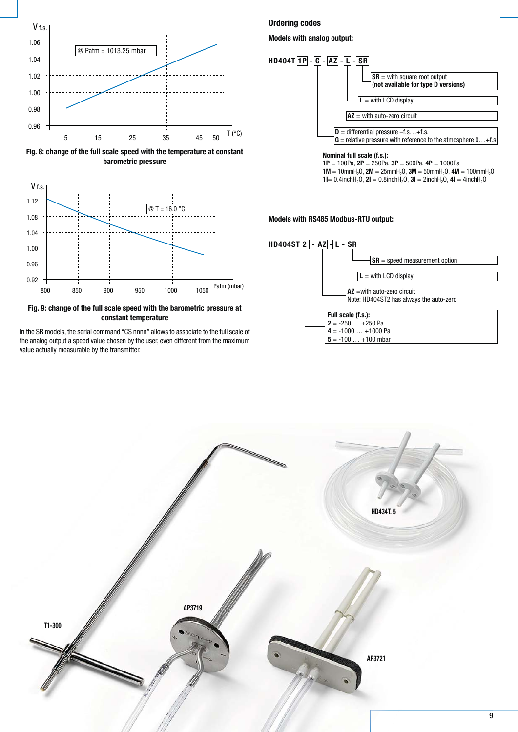

**Fig. 8: change of the full scale speed with the temperature at constant barometric pressure**



**Fig. 9: change of the full scale speed with the barometric pressure at constant temperature**

In the SR models, the serial command "CS nnnn" allows to associate to the full scale of the analog output a speed value chosen by the user, even different from the maximum value actually measurable by the transmitter.

# **Ordering codes**

#### **Models with analog output:**

![](_page_8_Figure_7.jpeg)

#### **Models with RS485 Modbus-RTU output:**

![](_page_8_Figure_9.jpeg)

![](_page_8_Figure_10.jpeg)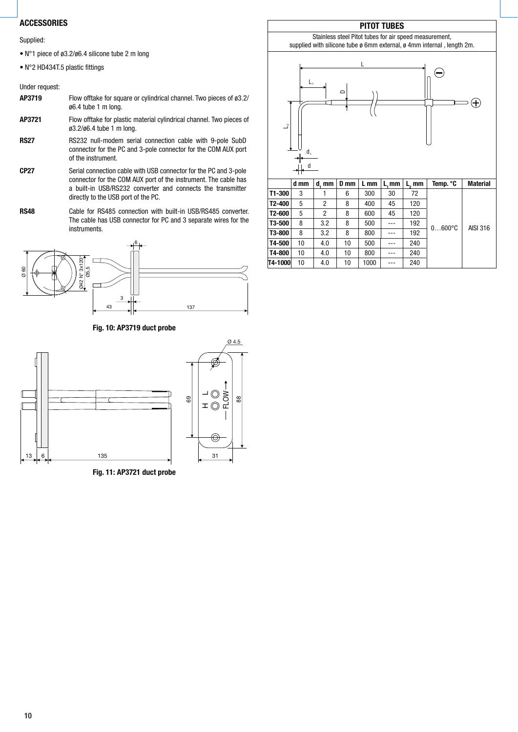# **ACCESSORIES**

Supplied:

- $N^{\circ}$ 1 piece of ø3.2/ø6.4 silicone tube 2 m long
- N°2 HD434T.5 plastic fittings

Under request:

# **AP3719** Flow offtake for square or cylindrical channel. Two pieces of ø3.2/ ø6.4 tube 1 m long.

**AP3721** Flow offtake for plastic material cylindrical channel. Two pieces of ø3.2/ø6.4 tube 1 m long.

**RS27** RS232 null-modem serial connection cable with 9-pole SubD connector for the PC and 3-pole connector for the COM AUX port of the instrument.

**CP27** Serial connection cable with USB connector for the PC and 3-pole connector for the COM AUX port of the instrument. The cable has a built-in USB/RS232 converter and connects the transmitter directly to the USB port of the PC.

**RS48** Cable for RS485 connection with built-in USB/RS485 converter. The cable has USB connector for PC and 3 separate wires for the instruments.

![](_page_9_Figure_10.jpeg)

# **Fig. 10: AP3719 duct probe**

![](_page_9_Figure_12.jpeg)

**Fig. 11: AP3721 duct probe**

# **PITOT TUBES**

Stainless steel Pitot tubes for air speed measurement, supplied with silicone tube ø 6mm external, ø 4mm internal, length 2m.

![](_page_9_Figure_16.jpeg)

|            | d mm | d. mm | D mm | L mm | L.mm | L, mm | Temp. °C        | <b>Material</b> |  |
|------------|------|-------|------|------|------|-------|-----------------|-----------------|--|
| $T1 - 300$ | 3    |       | 6    | 300  | 30   | 72    | $0600^{\circ}C$ |                 |  |
| T2-400     | 5    | 2     | 8    | 400  | 45   | 120   |                 |                 |  |
| T2-600     | 5    | 2     | 8    | 600  | 45   | 120   |                 | AISI 316        |  |
| T3-500     | 8    | 3.2   | 8    | 500  | ---  | 192   |                 |                 |  |
| T3-800     | 8    | 3.2   | 8    | 800  |      | 192   |                 |                 |  |
| T4-500     | 10   | 4.0   | 10   | 500  |      | 240   |                 |                 |  |
| T4-800     | 10   | 4.0   | 10   | 800  |      | 240   |                 |                 |  |
| T4-1000    | 10   | 4.0   | 10   | 1000 | ---  | 240   |                 |                 |  |

# 10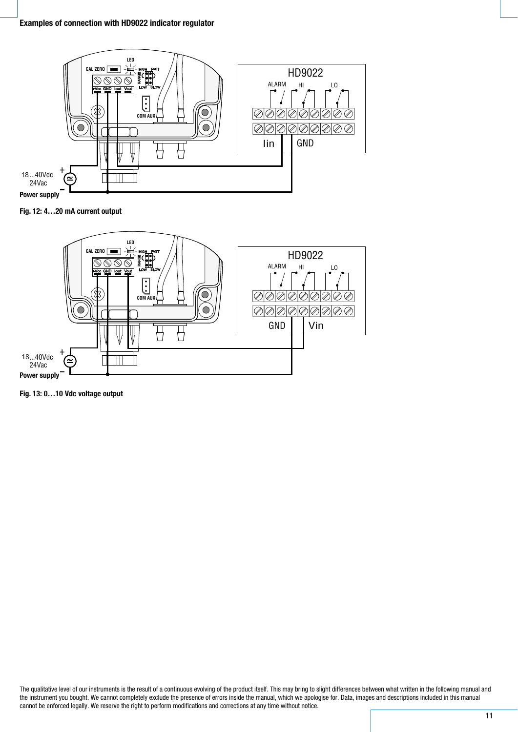![](_page_10_Figure_1.jpeg)

**Fig. 12: 4…20 mA current output**

![](_page_10_Figure_3.jpeg)

**Fig. 13: 0…10 Vdc voltage output**

The qualitative level of our instruments is the result of a continuous evolving of the product itself. This may bring to slight differences between what written in the following manual and the instrument you bought. We cannot completely exclude the presence of errors inside the manual, which we apologise for. Data, images and descriptions included in this manual cannot be enforced legally. We reserve the right to perform modifications and corrections at any time without notice.